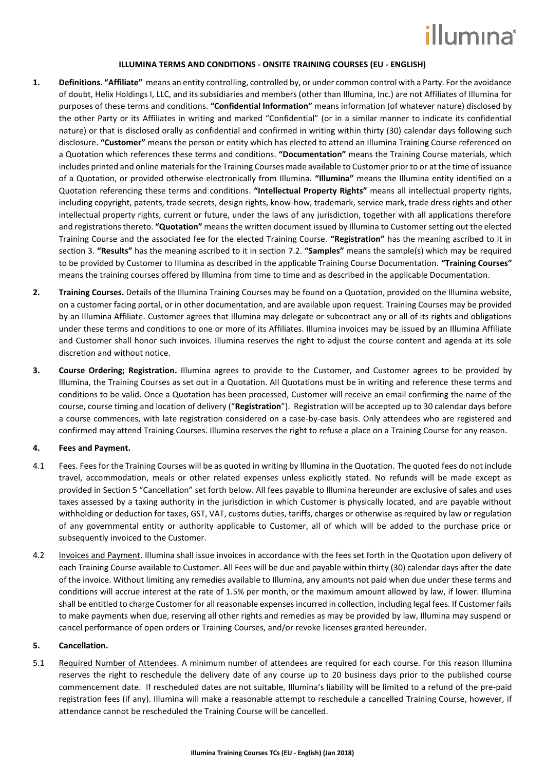## illumına

#### **ILLUMINA TERMS AND CONDITIONS - ONSITE TRAINING COURSES (EU - ENGLISH)**

- **1. Definitions**. **"Affiliate"** means an entity controlling, controlled by, or under common control with a Party. For the avoidance of doubt, Helix Holdings I, LLC, and its subsidiaries and members (other than Illumina, Inc.) are not Affiliates of Illumina for purposes of these terms and conditions. **"Confidential Information"** means information (of whatever nature) disclosed by the other Party or its Affiliates in writing and marked "Confidential" (or in a similar manner to indicate its confidential nature) or that is disclosed orally as confidential and confirmed in writing within thirty (30) calendar days following such disclosure. **"Customer"** means the person or entity which has elected to attend an Illumina Training Course referenced on a Quotation which references these terms and conditions. **"Documentation"** means the Training Course materials, which includes printed and online materials for the Training Courses made available to Customer prior to or at the time of issuance of a Quotation, or provided otherwise electronically from Illumina. **"Illumina"** means the Illumina entity identified on a Quotation referencing these terms and conditions. **"Intellectual Property Rights"** means all intellectual property rights, including copyright, patents, trade secrets, design rights, know-how, trademark, service mark, trade dress rights and other intellectual property rights, current or future, under the laws of any jurisdiction, together with all applications therefore and registrations thereto. **"Quotation"** meansthe written document issued by Illumina to Customer setting out the elected Training Course and the associated fee for the elected Training Course. **"Registration"** has the meaning ascribed to it in section [3.](#page-0-0) **"Results"** has the meaning ascribed to it in section [7.2.](#page-2-0) **"Samples"** means the sample(s) which may be required to be provided by Customer to Illumina as described in the applicable Training Course Documentation. **"Training Courses"** means the training courses offered by Illumina from time to time and as described in the applicable Documentation.
- **2. Training Courses.** Details of the Illumina Training Courses may be found on a Quotation, provided on the Illumina website, on a customer facing portal, or in other documentation, and are available upon request. Training Courses may be provided by an Illumina Affiliate. Customer agrees that Illumina may delegate or subcontract any or all of its rights and obligations under these terms and conditions to one or more of its Affiliates. Illumina invoices may be issued by an Illumina Affiliate and Customer shall honor such invoices. Illumina reserves the right to adjust the course content and agenda at its sole discretion and without notice.
- <span id="page-0-0"></span>**3. Course Ordering; Registration.** Illumina agrees to provide to the Customer, and Customer agrees to be provided by Illumina, the Training Courses as set out in a Quotation. All Quotations must be in writing and reference these terms and conditions to be valid. Once a Quotation has been processed, Customer will receive an email confirming the name of the course, course timing and location of delivery ("**Registration**"). Registration will be accepted up to 30 calendar days before a course commences, with late registration considered on a case-by-case basis. Only attendees who are registered and confirmed may attend Training Courses. Illumina reserves the right to refuse a place on a Training Course for any reason.

#### **4. Fees and Payment.**

- 4.1 Fees. Fees for the Training Courses will be as quoted in writing by Illumina in the Quotation. The quoted fees do not include travel, accommodation, meals or other related expenses unless explicitly stated. No refunds will be made except as provided in Section [5](#page-0-1) "Cancellation" set forth below. All fees payable to Illumina hereunder are exclusive of sales and uses taxes assessed by a taxing authority in the jurisdiction in which Customer is physically located, and are payable without withholding or deduction for taxes, GST, VAT, customs duties, tariffs, charges or otherwise as required by law or regulation of any governmental entity or authority applicable to Customer, all of which will be added to the purchase price or subsequently invoiced to the Customer.
- 4.2 Invoices and Payment. Illumina shall issue invoices in accordance with the fees set forth in the Quotation upon delivery of each Training Course available to Customer. All Fees will be due and payable within thirty (30) calendar days after the date of the invoice. Without limiting any remedies available to Illumina, any amounts not paid when due under these terms and conditions will accrue interest at the rate of 1.5% per month, or the maximum amount allowed by law, if lower. Illumina shall be entitled to charge Customer for all reasonable expenses incurred in collection, including legal fees. If Customer fails to make payments when due, reserving all other rights and remedies as may be provided by law, Illumina may suspend or cancel performance of open orders or Training Courses, and/or revoke licenses granted hereunder.

#### <span id="page-0-1"></span>**5. Cancellation.**

5.1 Required Number of Attendees. A minimum number of attendees are required for each course. For this reason Illumina reserves the right to reschedule the delivery date of any course up to 20 business days prior to the published course commencement date. If rescheduled dates are not suitable, Illumina's liability will be limited to a refund of the pre-paid registration fees (if any). Illumina will make a reasonable attempt to reschedule a cancelled Training Course, however, if attendance cannot be rescheduled the Training Course will be cancelled.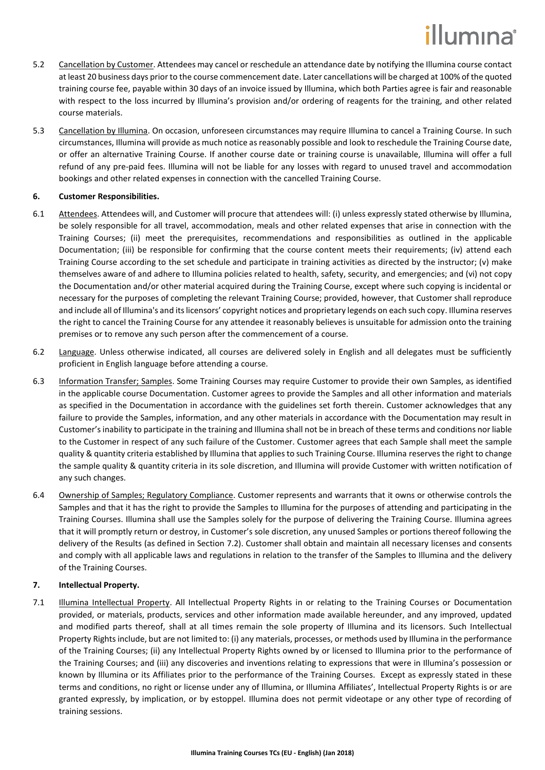# illumına

- 5.2 Cancellation by Customer. Attendees may cancel or reschedule an attendance date by notifying the Illumina course contact at least 20 business days prior to the course commencement date. Later cancellations will be charged at 100% of the quoted training course fee, payable within 30 days of an invoice issued by Illumina, which both Parties agree is fair and reasonable with respect to the loss incurred by Illumina's provision and/or ordering of reagents for the training, and other related course materials.
- <span id="page-1-1"></span>5.3 Cancellation by Illumina. On occasion, unforeseen circumstances may require Illumina to cancel a Training Course. In such circumstances, Illumina will provide as much notice as reasonably possible and look to reschedule the Training Course date, or offer an alternative Training Course. If another course date or training course is unavailable, Illumina will offer a full refund of any pre-paid fees. Illumina will not be liable for any losses with regard to unused travel and accommodation bookings and other related expenses in connection with the cancelled Training Course.

### **6. Customer Responsibilities.**

- 6.1 Attendees. Attendees will, and Customer will procure that attendees will: (i) unless expressly stated otherwise by Illumina, be solely responsible for all travel, accommodation, meals and other related expenses that arise in connection with the Training Courses; (ii) meet the prerequisites, recommendations and responsibilities as outlined in the applicable Documentation; (iii) be responsible for confirming that the course content meets their requirements; (iv) attend each Training Course according to the set schedule and participate in training activities as directed by the instructor; (v) make themselves aware of and adhere to Illumina policies related to health, safety, security, and emergencies; and (vi) not copy the Documentation and/or other material acquired during the Training Course, except where such copying is incidental or necessary for the purposes of completing the relevant Training Course; provided, however, that Customer shall reproduce and include all of Illumina's and its licensors' copyright notices and proprietary legends on each such copy. Illumina reserves the right to cancel the Training Course for any attendee it reasonably believes is unsuitable for admission onto the training premises or to remove any such person after the commencement of a course.
- 6.2 Language. Unless otherwise indicated, all courses are delivered solely in English and all delegates must be sufficiently proficient in English language before attending a course.
- 6.3 Information Transfer; Samples. Some Training Courses may require Customer to provide their own Samples, as identified in the applicable course Documentation. Customer agrees to provide the Samples and all other information and materials as specified in the Documentation in accordance with the guidelines set forth therein. Customer acknowledges that any failure to provide the Samples, information, and any other materials in accordance with the Documentation may result in Customer's inability to participate in the training and Illumina shall not be in breach of these terms and conditions nor liable to the Customer in respect of any such failure of the Customer. Customer agrees that each Sample shall meet the sample quality & quantity criteria established by Illumina that applies to such Training Course. Illumina reserves the right to change the sample quality & quantity criteria in its sole discretion, and Illumina will provide Customer with written notification of any such changes.
- <span id="page-1-0"></span>6.4 Ownership of Samples; Regulatory Compliance. Customer represents and warrants that it owns or otherwise controls the Samples and that it has the right to provide the Samples to Illumina for the purposes of attending and participating in the Training Courses. Illumina shall use the Samples solely for the purpose of delivering the Training Course. Illumina agrees that it will promptly return or destroy, in Customer's sole discretion, any unused Samples or portions thereof following the delivery of the Results (as defined in Section [7.2\)](#page-2-0). Customer shall obtain and maintain all necessary licenses and consents and comply with all applicable laws and regulations in relation to the transfer of the Samples to Illumina and the delivery of the Training Courses.

### **7. Intellectual Property.**

7.1 Illumina Intellectual Property. All Intellectual Property Rights in or relating to the Training Courses or Documentation provided, or materials, products, services and other information made available hereunder, and any improved, updated and modified parts thereof, shall at all times remain the sole property of Illumina and its licensors. Such Intellectual Property Rights include, but are not limited to: (i) any materials, processes, or methods used by Illumina in the performance of the Training Courses; (ii) any Intellectual Property Rights owned by or licensed to Illumina prior to the performance of the Training Courses; and (iii) any discoveries and inventions relating to expressions that were in Illumina's possession or known by Illumina or its Affiliates prior to the performance of the Training Courses. Except as expressly stated in these terms and conditions, no right or license under any of Illumina, or Illumina Affiliates', Intellectual Property Rights is or are granted expressly, by implication, or by estoppel. Illumina does not permit videotape or any other type of recording of training sessions.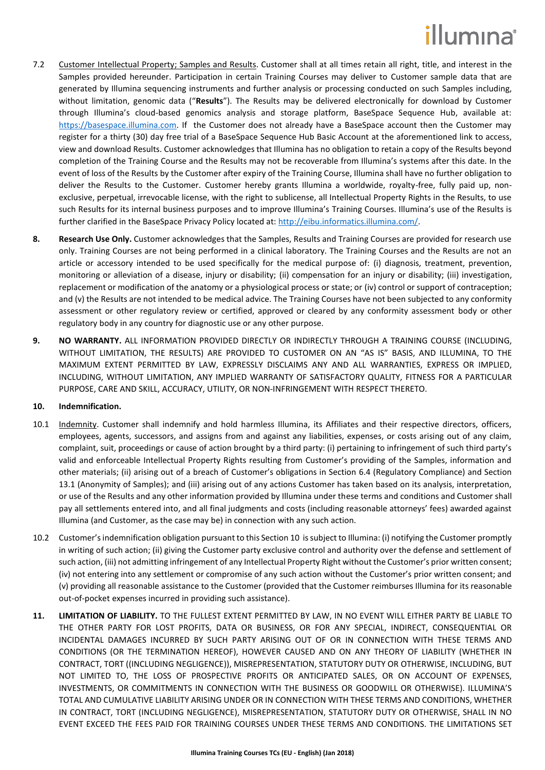## illumina®

- <span id="page-2-0"></span>7.2 Customer Intellectual Property; Samples and Results. Customer shall at all times retain all right, title, and interest in the Samples provided hereunder. Participation in certain Training Courses may deliver to Customer sample data that are generated by Illumina sequencing instruments and further analysis or processing conducted on such Samples including, without limitation, genomic data ("**Results**"). The Results may be delivered electronically for download by Customer through Illumina's cloud-based genomics analysis and storage platform, BaseSpace Sequence Hub, available at: [https://basespace.illumina.com.](https://basespace.illumina.com/) If the Customer does not already have a BaseSpace account then the Customer may register for a thirty (30) day free trial of a BaseSpace Sequence Hub Basic Account at the aforementioned link to access, view and download Results. Customer acknowledges that Illumina has no obligation to retain a copy of the Results beyond completion of the Training Course and the Results may not be recoverable from Illumina's systems after this date. In the event of loss of the Results by the Customer after expiry of the Training Course, Illumina shall have no further obligation to deliver the Results to the Customer. Customer hereby grants Illumina a worldwide, royalty-free, fully paid up, nonexclusive, perpetual, irrevocable license, with the right to sublicense, all Intellectual Property Rights in the Results, to use such Results for its internal business purposes and to improve Illumina's Training Courses. Illumina's use of the Results is further clarified in the BaseSpace Privacy Policy located at: [http://eibu.informatics.illumina.com/.](http://eibu.informatics.illumina.com/)
- **8. Research Use Only.** Customer acknowledges that the Samples, Results and Training Courses are provided for research use only. Training Courses are not being performed in a clinical laboratory. The Training Courses and the Results are not an article or accessory intended to be used specifically for the medical purpose of: (i) diagnosis, treatment, prevention, monitoring or alleviation of a disease, injury or disability; (ii) compensation for an injury or disability; (iii) investigation, replacement or modification of the anatomy or a physiological process or state; or (iv) control or support of contraception; and (v) the Results are not intended to be medical advice. The Training Courses have not been subjected to any conformity assessment or other regulatory review or certified, approved or cleared by any conformity assessment body or other regulatory body in any country for diagnostic use or any other purpose.
- **9. NO WARRANTY.** ALL INFORMATION PROVIDED DIRECTLY OR INDIRECTLY THROUGH A TRAINING COURSE (INCLUDING, WITHOUT LIMITATION, THE RESULTS) ARE PROVIDED TO CUSTOMER ON AN "AS IS" BASIS, AND ILLUMINA, TO THE MAXIMUM EXTENT PERMITTED BY LAW, EXPRESSLY DISCLAIMS ANY AND ALL WARRANTIES, EXPRESS OR IMPLIED, INCLUDING, WITHOUT LIMITATION, ANY IMPLIED WARRANTY OF SATISFACTORY QUALITY, FITNESS FOR A PARTICULAR PURPOSE, CARE AND SKILL, ACCURACY, UTILITY, OR NON-INFRINGEMENT WITH RESPECT THERETO.

### <span id="page-2-1"></span>**10. Indemnification.**

- 10.1 Indemnity. Customer shall indemnify and hold harmless Illumina, its Affiliates and their respective directors, officers, employees, agents, successors, and assigns from and against any liabilities, expenses, or costs arising out of any claim, complaint, suit, proceedings or cause of action brought by a third party: (i) pertaining to infringement of such third party's valid and enforceable Intellectual Property Rights resulting from Customer's providing of the Samples, information and other materials; (ii) arising out of a breach of Customer's obligations in Section [6.4](#page-1-0) (Regulatory Compliance) and Section [13.1](#page-3-0) (Anonymity of Samples); and (iii) arising out of any actions Customer has taken based on its analysis, interpretation, or use of the Results and any other information provided by Illumina under these terms and conditions and Customer shall pay all settlements entered into, and all final judgments and costs (including reasonable attorneys' fees) awarded against Illumina (and Customer, as the case may be) in connection with any such action.
- 10.2 Customer's indemnification obligation pursuant to this Sectio[n 10](#page-2-1) is subject to Illumina: (i) notifying the Customer promptly in writing of such action; (ii) giving the Customer party exclusive control and authority over the defense and settlement of such action, (iii) not admitting infringement of any Intellectual Property Right without the Customer's prior written consent; (iv) not entering into any settlement or compromise of any such action without the Customer's prior written consent; and (v) providing all reasonable assistance to the Customer (provided that the Customer reimburses Illumina for its reasonable out-of-pocket expenses incurred in providing such assistance).
- <span id="page-2-2"></span>**11. LIMITATION OF LIABILITY.** TO THE FULLEST EXTENT PERMITTED BY LAW, IN NO EVENT WILL EITHER PARTY BE LIABLE TO THE OTHER PARTY FOR LOST PROFITS, DATA OR BUSINESS, OR FOR ANY SPECIAL, INDIRECT, CONSEQUENTIAL OR INCIDENTAL DAMAGES INCURRED BY SUCH PARTY ARISING OUT OF OR IN CONNECTION WITH THESE TERMS AND CONDITIONS (OR THE TERMINATION HEREOF), HOWEVER CAUSED AND ON ANY THEORY OF LIABILITY (WHETHER IN CONTRACT, TORT ((INCLUDING NEGLIGENCE)), MISREPRESENTATION, STATUTORY DUTY OR OTHERWISE, INCLUDING, BUT NOT LIMITED TO, THE LOSS OF PROSPECTIVE PROFITS OR ANTICIPATED SALES, OR ON ACCOUNT OF EXPENSES, INVESTMENTS, OR COMMITMENTS IN CONNECTION WITH THE BUSINESS OR GOODWILL OR OTHERWISE). ILLUMINA'S TOTAL AND CUMULATIVE LIABILITY ARISING UNDER OR IN CONNECTION WITH THESE TERMS AND CONDITIONS, WHETHER IN CONTRACT, TORT (INCLUDING NEGLIGENCE), MISREPRESENTATION, STATUTORY DUTY OR OTHERWISE, SHALL IN NO EVENT EXCEED THE FEES PAID FOR TRAINING COURSES UNDER THESE TERMS AND CONDITIONS. THE LIMITATIONS SET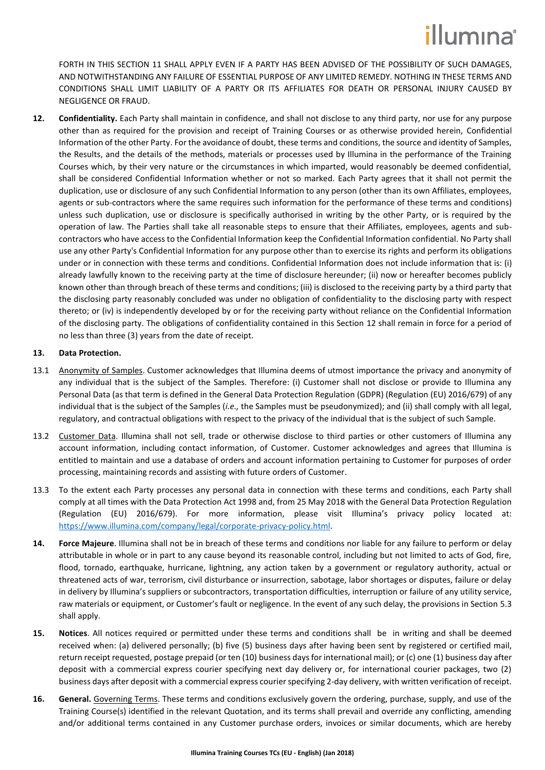## illumına

FORTH IN THIS SECTION [11](#page-2-2) SHALL APPLY EVEN IF A PARTY HAS BEEN ADVISED OF THE POSSIBILITY OF SUCH DAMAGES, AND NOTWITHSTANDING ANY FAILURE OF ESSENTIAL PURPOSE OF ANY LIMITED REMEDY. NOTHING IN THESE TERMS AND CONDITIONS SHALL LIMIT LIABILITY OF A PARTY OR ITS AFFILIATES FOR DEATH OR PERSONAL INJURY CAUSED BY NEGLIGENCE OR FRAUD.

<span id="page-3-1"></span>**12. Confidentiality.** Each Party shall maintain in confidence, and shall not disclose to any third party, nor use for any purpose other than as required for the provision and receipt of Training Courses or as otherwise provided herein, Confidential Information of the other Party. For the avoidance of doubt, these terms and conditions, the source and identity of Samples, the Results, and the details of the methods, materials or processes used by Illumina in the performance of the Training Courses which, by their very nature or the circumstances in which imparted, would reasonably be deemed confidential, shall be considered Confidential Information whether or not so marked. Each Party agrees that it shall not permit the duplication, use or disclosure of any such Confidential Information to any person (other than its own Affiliates, employees, agents or sub-contractors where the same requires such information for the performance of these terms and conditions) unless such duplication, use or disclosure is specifically authorised in writing by the other Party, or is required by the operation of law. The Parties shall take all reasonable steps to ensure that their Affiliates, employees, agents and subcontractors who have access to the Confidential Information keep the Confidential Information confidential. No Party shall use any other Party's Confidential Information for any purpose other than to exercise its rights and perform its obligations under or in connection with these terms and conditions. Confidential Information does not include information that is: (i) already lawfully known to the receiving party at the time of disclosure hereunder; (ii) now or hereafter becomes publicly known other than through breach of these terms and conditions; (iii) is disclosed to the receiving party by a third party that the disclosing party reasonably concluded was under no obligation of confidentiality to the disclosing party with respect thereto; or (iv) is independently developed by or for the receiving party without reliance on the Confidential Information of the disclosing party. The obligations of confidentiality contained in this Section [12](#page-3-1) shall remain in force for a period of no less than three (3) years from the date of receipt.

### **13. Data Protection.**

- <span id="page-3-0"></span>13.1 Anonymity of Samples. Customer acknowledges that Illumina deems of utmost importance the privacy and anonymity of any individual that is the subject of the Samples. Therefore: (i) Customer shall not disclose or provide to Illumina any Personal Data (as that term is defined in the General Data Protection Regulation (GDPR) (Regulation (EU) 2016/679) of any individual that is the subject of the Samples (*i.e.,* the Samples must be pseudonymized); and (ii) shall comply with all legal, regulatory, and contractual obligations with respect to the privacy of the individual that is the subject of such Sample.
- 13.2 Customer Data. Illumina shall not sell, trade or otherwise disclose to third parties or other customers of Illumina any account information, including contact information, of Customer. Customer acknowledges and agrees that Illumina is entitled to maintain and use a database of orders and account information pertaining to Customer for purposes of order processing, maintaining records and assisting with future orders of Customer.
- 13.3 To the extent each Party processes any personal data in connection with these terms and conditions, each Party shall comply at all times with the Data Protection Act 1998 and, from 25 May 2018 with the General Data Protection Regulation (Regulation (EU) 2016/679). For more information, please visit Illumina's privacy policy located at: [https://www.illumina.com/company/legal/corporate-privacy-policy.html.](https://www.illumina.com/company/legal/corporate-privacy-policy.html)
- **14. Force Majeure**. Illumina shall not be in breach of these terms and conditions nor liable for any failure to perform or delay attributable in whole or in part to any cause beyond its reasonable control, including but not limited to acts of God, fire, flood, tornado, earthquake, hurricane, lightning, any action taken by a government or regulatory authority, actual or threatened acts of war, terrorism, civil disturbance or insurrection, sabotage, labor shortages or disputes, failure or delay in delivery by Illumina's suppliers or subcontractors, transportation difficulties, interruption or failure of any utility service, raw materials or equipment, or Customer's fault or negligence. In the event of any such delay, the provisions in Section [5.3](#page-1-1) shall apply.
- **15. Notices**. All notices required or permitted under these terms and conditions shall be in writing and shall be deemed received when: (a) delivered personally; (b) five (5) business days after having been sent by registered or certified mail, return receipt requested, postage prepaid (or ten (10) business days for international mail); or (c) one (1) business day after deposit with a commercial express courier specifying next day delivery or, for international courier packages, two (2) business days after deposit with a commercial express courier specifying 2-day delivery, with written verification of receipt.
- <span id="page-3-2"></span>**16. General.** Governing Terms. These terms and conditions exclusively govern the ordering, purchase, supply, and use of the Training Course(s) identified in the relevant Quotation, and its terms shall prevail and override any conflicting, amending and/or additional terms contained in any Customer purchase orders, invoices or similar documents, which are hereby